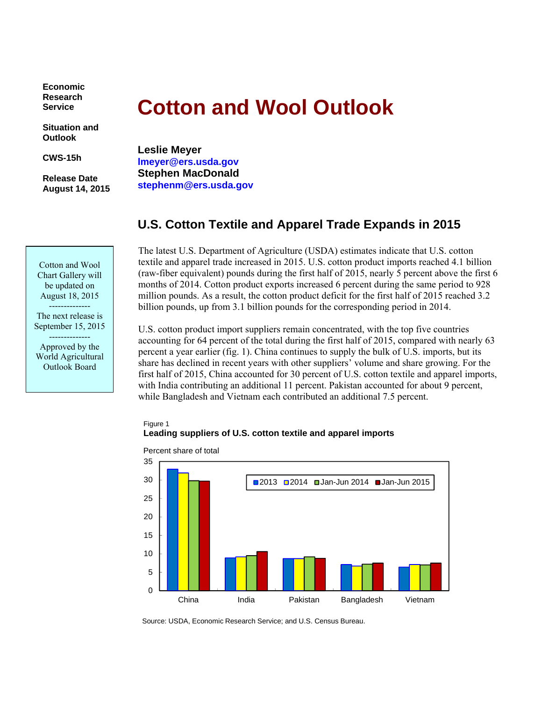**Economic Research Service** 

**Situation and Outlook** 

**CWS-15h** 

**Release Date August 14, 2015** 

# **Cotton and Wool Outlook**

**Leslie Meyer lmeyer@ers.usda.gov Stephen MacDonald stephenm@ers.usda.gov** 

# **U.S. Cotton Textile and Apparel Trade Expands in 2015**

The latest U.S. Department of Agriculture (USDA) estimates indicate that U.S. cotton textile and apparel trade increased in 2015. U.S. cotton product imports reached 4.1 billion (raw-fiber equivalent) pounds during the first half of 2015, nearly 5 percent above the first 6 months of 2014. Cotton product exports increased 6 percent during the same period to 928 million pounds. As a result, the cotton product deficit for the first half of 2015 reached 3.2 billion pounds, up from 3.1 billion pounds for the corresponding period in 2014.

U.S. cotton product import suppliers remain concentrated, with the top five countries accounting for 64 percent of the total during the first half of 2015, compared with nearly 63 percent a year earlier (fig. 1). China continues to supply the bulk of U.S. imports, but its share has declined in recent years with other suppliers' volume and share growing. For the first half of 2015, China accounted for 30 percent of U.S. cotton textile and apparel imports, with India contributing an additional 11 percent. Pakistan accounted for about 9 percent, while Bangladesh and Vietnam each contributed an additional 7.5 percent.

#### Figure 1 **Leading suppliers of U.S. cotton textile and apparel imports**



Percent share of total

Source: USDA, Economic Research Service; and U.S. Census Bureau.

Cotton and Wool Chart Gallery will be updated on August 18, 2015 --------------

The next release is September 15, 2015

-------------- Approved by the World Agricultural Outlook Board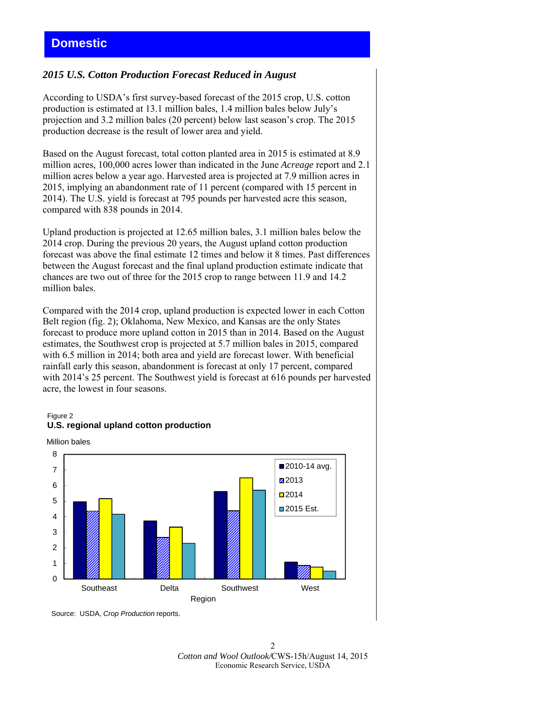## *2015 U.S. Cotton Production Forecast Reduced in August*

According to USDA's first survey-based forecast of the 2015 crop, U.S. cotton production is estimated at 13.1 million bales, 1.4 million bales below July's projection and 3.2 million bales (20 percent) below last season's crop. The 2015 production decrease is the result of lower area and yield.

Based on the August forecast, total cotton planted area in 2015 is estimated at 8.9 million acres, 100,000 acres lower than indicated in the June *Acreage* report and 2.1 million acres below a year ago. Harvested area is projected at 7.9 million acres in 2015, implying an abandonment rate of 11 percent (compared with 15 percent in 2014). The U.S. yield is forecast at 795 pounds per harvested acre this season, compared with 838 pounds in 2014.

Upland production is projected at 12.65 million bales, 3.1 million bales below the 2014 crop. During the previous 20 years, the August upland cotton production forecast was above the final estimate 12 times and below it 8 times. Past differences between the August forecast and the final upland production estimate indicate that chances are two out of three for the 2015 crop to range between 11.9 and 14.2 million bales.

Compared with the 2014 crop, upland production is expected lower in each Cotton Belt region (fig. 2); Oklahoma, New Mexico, and Kansas are the only States forecast to produce more upland cotton in 2015 than in 2014. Based on the August estimates, the Southwest crop is projected at 5.7 million bales in 2015, compared with 6.5 million in 2014; both area and yield are forecast lower. With beneficial rainfall early this season, abandonment is forecast at only 17 percent, compared with 2014's 25 percent. The Southwest yield is forecast at 616 pounds per harvested acre, the lowest in four seasons.

#### Figure 2 **U.S. regional upland cotton production**





Source: USDA, *Crop Production* reports.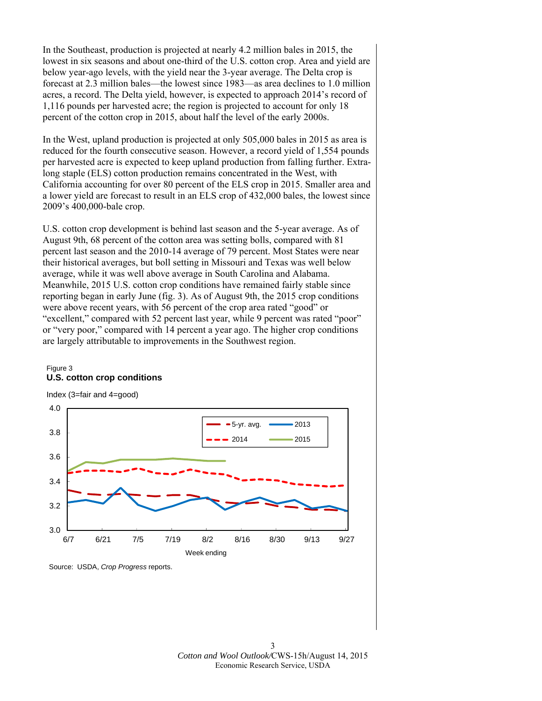In the Southeast, production is projected at nearly 4.2 million bales in 2015, the lowest in six seasons and about one-third of the U.S. cotton crop. Area and yield are below year-ago levels, with the yield near the 3-year average. The Delta crop is forecast at 2.3 million bales—the lowest since 1983—as area declines to 1.0 million acres, a record. The Delta yield, however, is expected to approach 2014's record of 1,116 pounds per harvested acre; the region is projected to account for only 18 percent of the cotton crop in 2015, about half the level of the early 2000s.

In the West, upland production is projected at only 505,000 bales in 2015 as area is reduced for the fourth consecutive season. However, a record yield of 1,554 pounds per harvested acre is expected to keep upland production from falling further. Extralong staple (ELS) cotton production remains concentrated in the West, with California accounting for over 80 percent of the ELS crop in 2015. Smaller area and a lower yield are forecast to result in an ELS crop of 432,000 bales, the lowest since 2009's 400,000-bale crop.

U.S. cotton crop development is behind last season and the 5-year average. As of August 9th, 68 percent of the cotton area was setting bolls, compared with 81 percent last season and the 2010-14 average of 79 percent. Most States were near their historical averages, but boll setting in Missouri and Texas was well below average, while it was well above average in South Carolina and Alabama. Meanwhile, 2015 U.S. cotton crop conditions have remained fairly stable since reporting began in early June (fig. 3). As of August 9th, the 2015 crop conditions were above recent years, with 56 percent of the crop area rated "good" or "excellent," compared with 52 percent last year, while 9 percent was rated "poor" or "very poor," compared with 14 percent a year ago. The higher crop conditions are largely attributable to improvements in the Southwest region.

#### Figure 3 **U.S. cotton crop conditions**

Index (3=fair and 4=good)



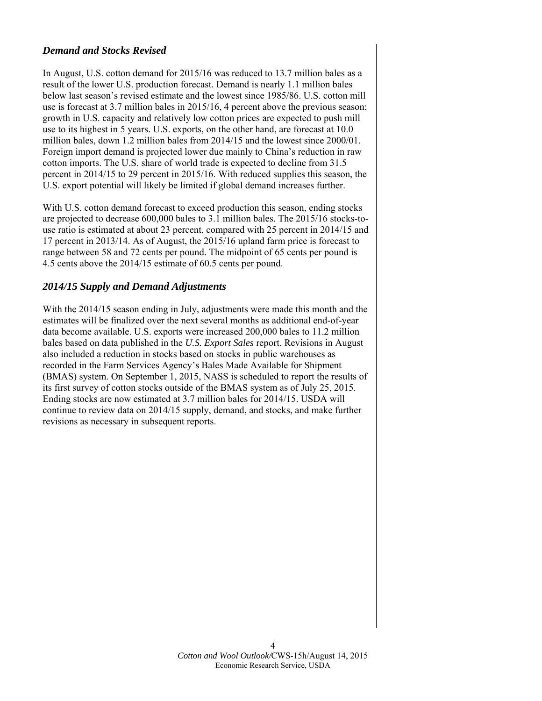## *Demand and Stocks Revised*

In August, U.S. cotton demand for 2015/16 was reduced to 13.7 million bales as a result of the lower U.S. production forecast. Demand is nearly 1.1 million bales below last season's revised estimate and the lowest since 1985/86. U.S. cotton mill use is forecast at 3.7 million bales in 2015/16, 4 percent above the previous season; growth in U.S. capacity and relatively low cotton prices are expected to push mill use to its highest in 5 years. U.S. exports, on the other hand, are forecast at 10.0 million bales, down 1.2 million bales from 2014/15 and the lowest since 2000/01. Foreign import demand is projected lower due mainly to China's reduction in raw cotton imports. The U.S. share of world trade is expected to decline from 31.5 percent in 2014/15 to 29 percent in 2015/16. With reduced supplies this season, the U.S. export potential will likely be limited if global demand increases further.

With U.S. cotton demand forecast to exceed production this season, ending stocks are projected to decrease 600,000 bales to 3.1 million bales. The 2015/16 stocks-touse ratio is estimated at about 23 percent, compared with 25 percent in 2014/15 and 17 percent in 2013/14. As of August, the 2015/16 upland farm price is forecast to range between 58 and 72 cents per pound. The midpoint of 65 cents per pound is 4.5 cents above the 2014/15 estimate of 60.5 cents per pound.

## *2014/15 Supply and Demand Adjustments*

With the 2014/15 season ending in July, adjustments were made this month and the estimates will be finalized over the next several months as additional end-of-year data become available. U.S. exports were increased 200,000 bales to 11.2 million bales based on data published in the *U.S. Export Sales* report. Revisions in August also included a reduction in stocks based on stocks in public warehouses as recorded in the Farm Services Agency's Bales Made Available for Shipment (BMAS) system. On September 1, 2015, NASS is scheduled to report the results of its first survey of cotton stocks outside of the BMAS system as of July 25, 2015. Ending stocks are now estimated at 3.7 million bales for 2014/15. USDA will continue to review data on 2014/15 supply, demand, and stocks, and make further revisions as necessary in subsequent reports.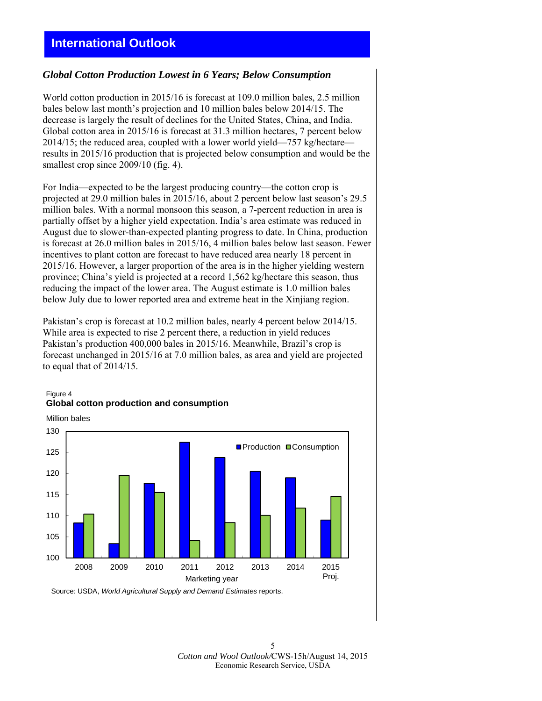## **International Outlook**

#### *Global Cotton Production Lowest in 6 Years; Below Consumption*

World cotton production in 2015/16 is forecast at 109.0 million bales, 2.5 million bales below last month's projection and 10 million bales below 2014/15. The decrease is largely the result of declines for the United States, China, and India. Global cotton area in 2015/16 is forecast at 31.3 million hectares, 7 percent below 2014/15; the reduced area, coupled with a lower world yield—757 kg/hectare results in 2015/16 production that is projected below consumption and would be the smallest crop since  $2009/10$  (fig. 4).

For India—expected to be the largest producing country—the cotton crop is projected at 29.0 million bales in 2015/16, about 2 percent below last season's 29.5 million bales. With a normal monsoon this season, a 7-percent reduction in area is partially offset by a higher yield expectation. India's area estimate was reduced in August due to slower-than-expected planting progress to date. In China, production is forecast at 26.0 million bales in 2015/16, 4 million bales below last season. Fewer incentives to plant cotton are forecast to have reduced area nearly 18 percent in 2015/16. However, a larger proportion of the area is in the higher yielding western province; China's yield is projected at a record 1,562 kg/hectare this season, thus reducing the impact of the lower area. The August estimate is 1.0 million bales below July due to lower reported area and extreme heat in the Xinjiang region.

Pakistan's crop is forecast at 10.2 million bales, nearly 4 percent below 2014/15. While area is expected to rise 2 percent there, a reduction in yield reduces Pakistan's production 400,000 bales in 2015/16. Meanwhile, Brazil's crop is forecast unchanged in 2015/16 at 7.0 million bales, as area and yield are projected to equal that of 2014/15.



## Figure 4 **Global cotton production and consumption**

Source: USDA, *World Agricultural Supply and Demand Estimates* reports.

5 *Cotton and Wool Outlook/*CWS-15h/August 14, 2015 Economic Research Service, USDA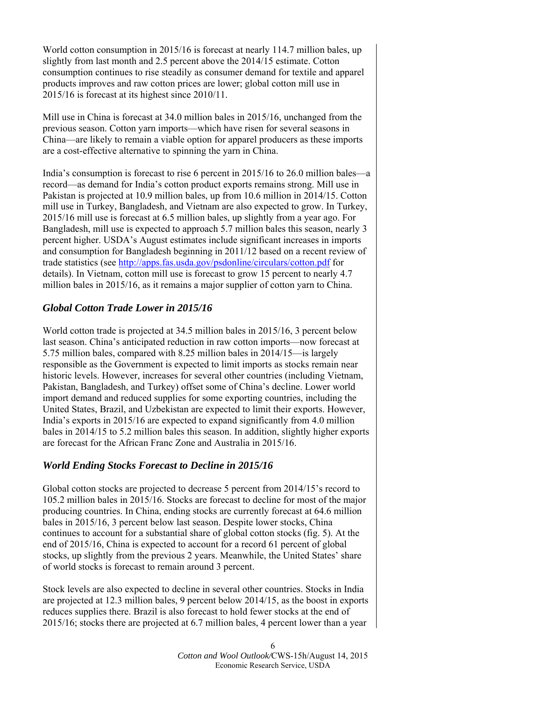World cotton consumption in 2015/16 is forecast at nearly 114.7 million bales, up slightly from last month and 2.5 percent above the 2014/15 estimate. Cotton consumption continues to rise steadily as consumer demand for textile and apparel products improves and raw cotton prices are lower; global cotton mill use in 2015/16 is forecast at its highest since 2010/11.

Mill use in China is forecast at 34.0 million bales in 2015/16, unchanged from the previous season. Cotton yarn imports—which have risen for several seasons in China—are likely to remain a viable option for apparel producers as these imports are a cost-effective alternative to spinning the yarn in China.

India's consumption is forecast to rise 6 percent in 2015/16 to 26.0 million bales—a record—as demand for India's cotton product exports remains strong. Mill use in Pakistan is projected at 10.9 million bales, up from 10.6 million in 2014/15. Cotton mill use in Turkey, Bangladesh, and Vietnam are also expected to grow. In Turkey, 2015/16 mill use is forecast at 6.5 million bales, up slightly from a year ago. For Bangladesh, mill use is expected to approach 5.7 million bales this season, nearly 3 percent higher. USDA's August estimates include significant increases in imports and consumption for Bangladesh beginning in 2011/12 based on a recent review of trade statistics (see http://apps.fas.usda.gov/psdonline/circulars/cotton.pdf for details). In Vietnam, cotton mill use is forecast to grow 15 percent to nearly 4.7 million bales in 2015/16, as it remains a major supplier of cotton yarn to China.

## *Global Cotton Trade Lower in 2015/16*

World cotton trade is projected at 34.5 million bales in 2015/16, 3 percent below last season. China's anticipated reduction in raw cotton imports—now forecast at 5.75 million bales, compared with 8.25 million bales in 2014/15—is largely responsible as the Government is expected to limit imports as stocks remain near historic levels. However, increases for several other countries (including Vietnam, Pakistan, Bangladesh, and Turkey) offset some of China's decline. Lower world import demand and reduced supplies for some exporting countries, including the United States, Brazil, and Uzbekistan are expected to limit their exports. However, India's exports in 2015/16 are expected to expand significantly from 4.0 million bales in 2014/15 to 5.2 million bales this season. In addition, slightly higher exports are forecast for the African Franc Zone and Australia in 2015/16.

## *World Ending Stocks Forecast to Decline in 2015/16*

Global cotton stocks are projected to decrease 5 percent from 2014/15's record to 105.2 million bales in 2015/16. Stocks are forecast to decline for most of the major producing countries. In China, ending stocks are currently forecast at 64.6 million bales in 2015/16, 3 percent below last season. Despite lower stocks, China continues to account for a substantial share of global cotton stocks (fig. 5). At the end of 2015/16, China is expected to account for a record 61 percent of global stocks, up slightly from the previous 2 years. Meanwhile, the United States' share of world stocks is forecast to remain around 3 percent.

Stock levels are also expected to decline in several other countries. Stocks in India are projected at 12.3 million bales, 9 percent below 2014/15, as the boost in exports reduces supplies there. Brazil is also forecast to hold fewer stocks at the end of 2015/16; stocks there are projected at 6.7 million bales, 4 percent lower than a year

> 6 *Cotton and Wool Outlook/*CWS-15h/August 14, 2015 Economic Research Service, USDA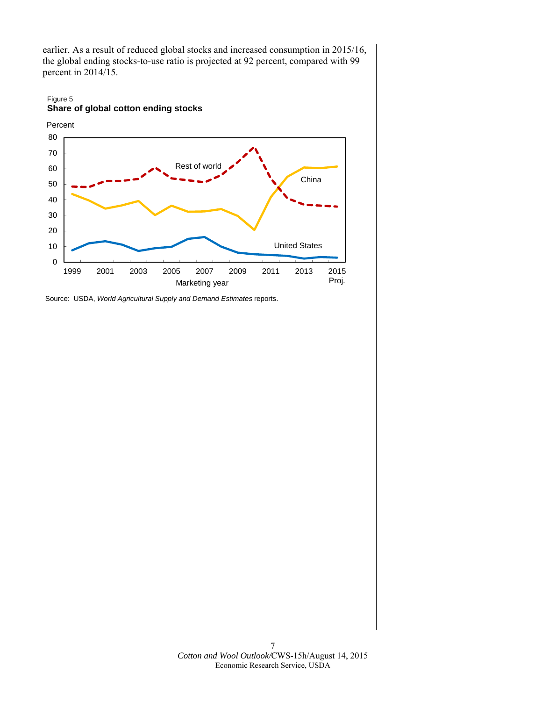earlier. As a result of reduced global stocks and increased consumption in 2015/16, the global ending stocks-to-use ratio is projected at 92 percent, compared with 99 percent in 2014/15.

#### Figure 5 **Share of global cotton ending stocks**



Source: USDA, *World Agricultural Supply and Demand Estimates* reports.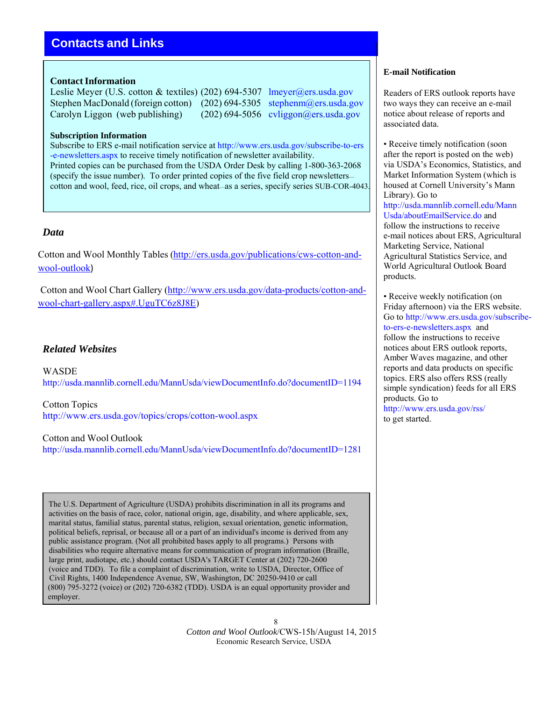# **Contacts and Links**

#### **Contact Information**

Leslie Meyer (U.S. cotton & textiles) (202) 694-5307 lmeyer@ers.usda.gov Stephen MacDonald (foreign cotton) (202) 694-5305 stephenm@ers.usda.gov Carolyn Liggon (web publishing) (202) 694-5056 cyliggon@ers.usda.gov

#### **Subscription Information**

Subscribe to ERS e-mail notification service at http://www.ers.usda.gov/subscribe-to-ers -e-newsletters.aspx to receive timely notification of newsletter availability. Printed copies can be purchased from the USDA Order Desk by calling 1-800-363-2068 (specify the issue number). To order printed copies of the five field crop newsletters cotton and wool, feed, rice, oil crops, and wheat—as a series, specify series SUB-COR-4043.

## *Data*

Cotton and Wool Monthly Tables (http://ers.usda.gov/publications/cws-cotton-andwool-outlook)

Cotton and Wool Chart Gallery (http://www.ers.usda.gov/data-products/cotton-andwool-chart-gallery.aspx#.UguTC6z8J8E)

## *Related Websites*

WASDE http://usda.mannlib.cornell.edu/MannUsda/viewDocumentInfo.do?documentID=1194

Cotton Topics http://www.ers.usda.gov/topics/crops/cotton-wool.aspx

Cotton and Wool Outlook http://usda.mannlib.cornell.edu/MannUsda/viewDocumentInfo.do?documentID=1281

The U.S. Department of Agriculture (USDA) prohibits discrimination in all its programs and activities on the basis of race, color, national origin, age, disability, and where applicable, sex, marital status, familial status, parental status, religion, sexual orientation, genetic information, political beliefs, reprisal, or because all or a part of an individual's income is derived from any public assistance program. (Not all prohibited bases apply to all programs.) Persons with disabilities who require alternative means for communication of program information (Braille, large print, audiotape, etc.) should contact USDA's TARGET Center at (202) 720-2600 (voice and TDD). To file a complaint of discrimination, write to USDA, Director, Office of Civil Rights, 1400 Independence Avenue, SW, Washington, DC 20250-9410 or call (800) 795-3272 (voice) or (202) 720-6382 (TDD). USDA is an equal opportunity provider and employer.

#### **E-mail Notification**

Readers of ERS outlook reports have two ways they can receive an e-mail notice about release of reports and associated data.

• Receive timely notification (soon) after the report is posted on the web) via USDA's Economics, Statistics, and Market Information System (which is housed at Cornell University's Mann Library). Go to http://usda.mannlib.cornell.edu/Mann Usda/aboutEmailService.do and follow the instructions to receive e-mail notices about ERS, Agricultural Marketing Service, National Agricultural Statistics Service, and World Agricultural Outlook Board products.

• Receive weekly notification (on Friday afternoon) via the ERS website. Go to http://www.ers.usda.gov/subscribeto-ers-e-newsletters.aspx and follow the instructions to receive notices about ERS outlook reports, Amber Waves magazine, and other reports and data products on specific topics. ERS also offers RSS (really simple syndication) feeds for all ERS products. Go to http://www.ers.usda.gov/rss/ to get started.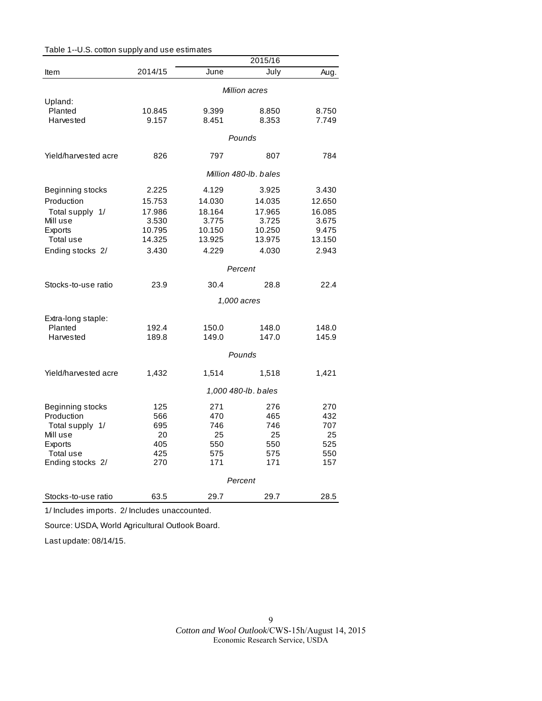|                      |         |        | 2015/16               |        |
|----------------------|---------|--------|-----------------------|--------|
| Item                 | 2014/15 | June   | July                  | Aug.   |
|                      |         |        | Million acres         |        |
| Upland:              |         |        |                       |        |
| Planted              | 10.845  | 9.399  | 8.850                 | 8.750  |
| Harvested            | 9.157   | 8.451  | 8.353                 | 7.749  |
|                      |         |        | Pounds                |        |
| Yield/harvested acre | 826     | 797    | 807                   | 784    |
|                      |         |        | Million 480-lb, bales |        |
| Beginning stocks     | 2.225   | 4.129  | 3.925                 | 3.430  |
| Production           | 15.753  | 14.030 | 14.035                | 12.650 |
| Total supply 1/      | 17.986  | 18.164 | 17.965                | 16.085 |
| Mill use             | 3.530   | 3.775  | 3.725                 | 3.675  |
| Exports              | 10.795  | 10.150 | 10.250                | 9.475  |
| Total use            | 14.325  | 13.925 | 13.975                | 13.150 |
| Ending stocks 2/     | 3.430   | 4.229  | 4.030                 | 2.943  |
|                      |         |        | Percent               |        |
| Stocks-to-use ratio  | 23.9    | 30.4   | 28.8                  | 22.4   |
|                      |         |        | 1,000 acres           |        |
| Extra-long staple:   |         |        |                       |        |
| Planted              | 192.4   | 150.0  | 148.0                 | 148.0  |
| Harvested            | 189.8   | 149.0  | 147.0                 | 145.9  |
|                      |         |        | Pounds                |        |
| Yield/harvested acre | 1,432   | 1,514  | 1,518                 | 1,421  |
|                      |         |        | 1,000 480-lb. bales   |        |
| Beginning stocks     | 125     | 271    | 276                   | 270    |
| Production           | 566     | 470    | 465                   | 432    |
| Total supply 1/      | 695     | 746    | 746                   | 707    |
| Mill use             | 20      | 25     | 25                    | 25     |
| Exports              | 405     | 550    | 550                   | 525    |
| Total use            | 425     | 575    | 575                   | 550    |
| Ending stocks 2/     | 270     | 171    | 171                   | 157    |
|                      |         |        | Percent               |        |
| Stocks-to-use ratio  | 63.5    | 29.7   | 29.7                  | 28.5   |

Table 1--U.S. cotton supply and use estimates

1/ Includes imports. 2/ Includes unaccounted.

Source: USDA, World Agricultural Outlook Board.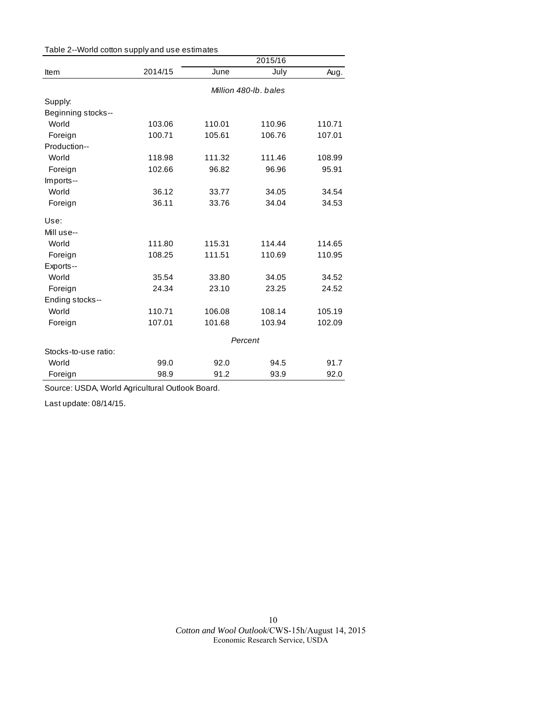| Table 2--World cotton supply and use estimates |  |  |
|------------------------------------------------|--|--|
|------------------------------------------------|--|--|

|                      |                       |        | 2015/16 |        |  |
|----------------------|-----------------------|--------|---------|--------|--|
| Item                 | 2014/15               | June   | July    | Aug.   |  |
|                      | Million 480-lb, bales |        |         |        |  |
| Supply:              |                       |        |         |        |  |
| Beginning stocks--   |                       |        |         |        |  |
| World                | 103.06                | 110.01 | 110.96  | 110.71 |  |
| Foreign              | 100.71                | 105.61 | 106.76  | 107.01 |  |
| Production--         |                       |        |         |        |  |
| World                | 118.98                | 111.32 | 111.46  | 108.99 |  |
| Foreign              | 102.66                | 96.82  | 96.96   | 95.91  |  |
| Imports--            |                       |        |         |        |  |
| World                | 36.12                 | 33.77  | 34.05   | 34.54  |  |
| Foreign              | 36.11                 | 33.76  | 34.04   | 34.53  |  |
| Use:                 |                       |        |         |        |  |
| Mill use--           |                       |        |         |        |  |
| World                | 111.80                | 115.31 | 114.44  | 114.65 |  |
| Foreign              | 108.25                | 111.51 | 110.69  | 110.95 |  |
| Exports--            |                       |        |         |        |  |
| World                | 35.54                 | 33.80  | 34.05   | 34.52  |  |
| Foreign              | 24.34                 | 23.10  | 23.25   | 24.52  |  |
| Ending stocks--      |                       |        |         |        |  |
| World                | 110.71                | 106.08 | 108.14  | 105.19 |  |
| Foreign              | 107.01                | 101.68 | 103.94  | 102.09 |  |
|                      | Percent               |        |         |        |  |
| Stocks-to-use ratio: |                       |        |         |        |  |
| World                | 99.0                  | 92.0   | 94.5    | 91.7   |  |
| Foreign              | 98.9                  | 91.2   | 93.9    | 92.0   |  |

Source: USDA, World Agricultural Outlook Board.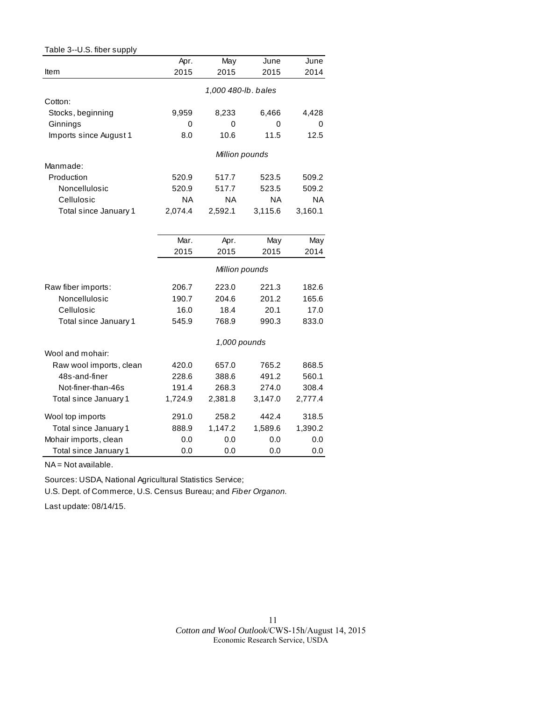| Table 3--U.S. fiber supply |           |                     |         |           |
|----------------------------|-----------|---------------------|---------|-----------|
|                            | Apr.      | May                 | June    | June      |
| Item                       | 2015      | 2015                | 2015    | 2014      |
|                            |           | 1,000 480-lb. bales |         |           |
| Cotton:                    |           |                     |         |           |
| Stocks, beginning          | 9,959     | 8,233               | 6,466   | 4,428     |
| Ginnings                   | 0         | 0                   | 0       | 0         |
| Imports since August 1     | 8.0       | 10.6                | 11.5    | 12.5      |
|                            |           | Million pounds      |         |           |
| Manmade:                   |           |                     |         |           |
| Production                 | 520.9     | 517.7               | 523.5   | 509.2     |
| Noncellulosic              | 520.9     | 517.7               | 523.5   | 509.2     |
| Cellulosic                 | <b>NA</b> | ΝA                  | ΝA      | <b>NA</b> |
| Total since January 1      | 2,074.4   | 2,592.1             | 3,115.6 | 3,160.1   |
|                            |           |                     |         |           |
|                            | Mar.      | Apr.                | May     | May       |
|                            | 2015      | 2015                | 2015    | 2014      |
|                            |           | Million pounds      |         |           |
| Raw fiber imports:         | 206.7     | 223.0               | 221.3   | 182.6     |
| Noncellulosic              | 190.7     | 204.6               | 201.2   | 165.6     |
| Cellulosic                 | 16.0      | 18.4                | 20.1    | 17.0      |
| Total since January 1      | 545.9     | 768.9               | 990.3   | 833.0     |
|                            |           | 1,000 pounds        |         |           |
| Wool and mohair:           |           |                     |         |           |
| Raw wool imports, clean    | 420.0     | 657.0               | 765.2   | 868.5     |
| 48s-and-finer              | 228.6     | 388.6               | 491.2   | 560.1     |
| Not-finer-than-46s         | 191.4     | 268.3               | 274.0   | 308.4     |
| Total since January 1      | 1,724.9   | 2,381.8             | 3,147.0 | 2,777.4   |
| Wool top imports           | 291.0     | 258.2               | 442.4   | 318.5     |
| Total since January 1      | 888.9     | 1,147.2             | 1,589.6 | 1,390.2   |
| Mohair imports, clean      | 0.0       | 0.0                 | 0.0     | 0.0       |
| Total since January 1      | 0.0       | 0.0                 | 0.0     | 0.0       |

NA = Not available.

Sources: USDA, National Agricultural Statistics Service;

U.S. Dept. of Commerce, U.S. Census Bureau; and *Fiber Organon.*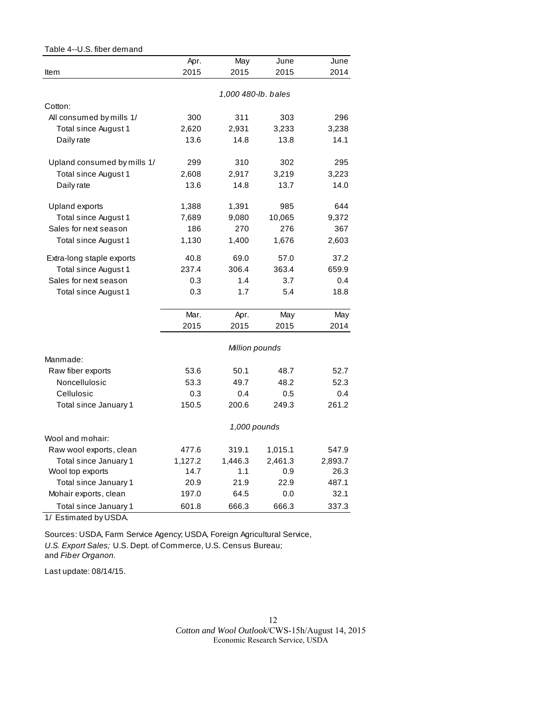| Table 4--U.S. fiber demand  |         |                     |         |         |
|-----------------------------|---------|---------------------|---------|---------|
|                             | Apr.    | May                 | June    | June    |
| Item                        | 2015    | 2015                | 2015    | 2014    |
|                             |         |                     |         |         |
|                             |         | 1,000 480-lb. bales |         |         |
| Cotton:                     |         |                     |         |         |
| All consumed by mills 1/    | 300     | 311                 | 303     | 296     |
| Total since August 1        | 2,620   | 2,931               | 3,233   | 3,238   |
| Daily rate                  | 13.6    | 14.8                | 13.8    | 14.1    |
| Upland consumed by mills 1/ | 299     | 310                 | 302     | 295     |
| Total since August 1        | 2,608   | 2,917               | 3,219   | 3,223   |
| Daily rate                  | 13.6    | 14.8                | 13.7    | 14.0    |
| Upland exports              | 1,388   | 1,391               | 985     | 644     |
| Total since August 1        | 7,689   | 9,080               | 10,065  | 9,372   |
| Sales for next season       | 186     | 270                 | 276     | 367     |
| Total since August 1        | 1,130   | 1,400               | 1,676   | 2,603   |
| Extra-long staple exports   | 40.8    | 69.0                | 57.0    | 37.2    |
| Total since August 1        | 237.4   | 306.4               | 363.4   | 659.9   |
| Sales for next season       | 0.3     | 1.4                 | 3.7     | 0.4     |
| Total since August 1        | 0.3     | 1.7                 | 5.4     | 18.8    |
|                             | Mar.    | Apr.                | May     | May     |
|                             | 2015    | 2015                | 2015    | 2014    |
|                             |         | Million pounds      |         |         |
| Manmade:                    |         |                     |         |         |
| Raw fiber exports           | 53.6    | 50.1                | 48.7    | 52.7    |
| Noncellulosic               | 53.3    | 49.7                | 48.2    | 52.3    |
| Cellulosic                  | 0.3     | 0.4                 | 0.5     | 0.4     |
| Total since January 1       | 150.5   | 200.6               | 249.3   | 261.2   |
|                             |         | 1,000 pounds        |         |         |
| Wool and mohair:            |         |                     |         |         |
| Raw wool exports, clean     | 477.6   | 319.1               | 1,015.1 | 547.9   |
| Total since January 1       | 1,127.2 | 1,446.3             | 2,461.3 | 2,893.7 |
| Wool top exports            | 14.7    | 1.1                 | 0.9     | 26.3    |
| Total since January 1       | 20.9    | 21.9                | 22.9    | 487.1   |
| Mohair exports, clean       | 197.0   | 64.5                | 0.0     | 32.1    |
| Total since January 1       | 601.8   | 666.3               | 666.3   | 337.3   |

1/ Estimated by USDA.

Sources: USDA, Farm Service Agency; USDA, Foreign Agricultural Service, *U.S. Export Sales;* U.S. Dept. of Commerce, U.S. Census Bureau; and *Fiber Organon.*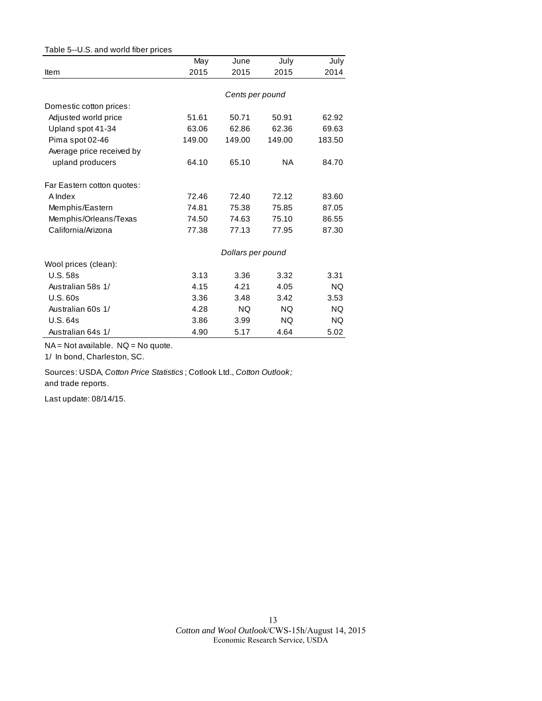| Table 5--U.S. and world fiber prices |        |                   |           |        |
|--------------------------------------|--------|-------------------|-----------|--------|
|                                      | May    | June              | July      | July   |
| Item                                 | 2015   | 2015              | 2015      | 2014   |
|                                      |        |                   |           |        |
|                                      |        | Cents per pound   |           |        |
| Domestic cotton prices:              |        |                   |           |        |
| Adjusted world price                 | 51.61  | 50.71             | 50.91     | 62.92  |
| Upland spot 41-34                    | 63.06  | 62.86             | 62.36     | 69.63  |
| Pima spot 02-46                      | 149.00 | 149.00            | 149.00    | 183.50 |
| Average price received by            |        |                   |           |        |
| upland producers                     | 64.10  | 65.10             | <b>NA</b> | 84.70  |
| Far Eastern cotton quotes:           |        |                   |           |        |
| A Index                              | 72.46  | 72.40             | 72.12     | 83.60  |
| Memphis/Eastern                      | 74.81  | 75.38             | 75.85     | 87.05  |
| Memphis/Orleans/Texas                | 74.50  | 74.63             | 75.10     | 86.55  |
| California/Arizona                   | 77.38  | 77.13             | 77.95     | 87.30  |
|                                      |        | Dollars per pound |           |        |
| Wool prices (clean):                 |        |                   |           |        |
| <b>U.S. 58s</b>                      | 3.13   | 3.36              | 3.32      | 3.31   |
| Australian 58s 1/                    | 4.15   | 4.21              | 4.05      | NQ.    |
| U.S.60s                              | 3.36   | 3.48              | 3.42      | 3.53   |
| Australian 60s 1/                    | 4.28   | NQ.               | NQ.       | NQ.    |
| U.S. 64s                             | 3.86   | 3.99              | NQ.       | NQ.    |
| Australian 64s 1/                    | 4.90   | 5.17              | 4.64      | 5.02   |

NA = Not available. NQ = No quote.

1/ In bond, Charleston, SC.

Sources: USDA, *Cotton Price Statistics* ; Cotlook Ltd., *Cotton Outlook;*  and trade reports.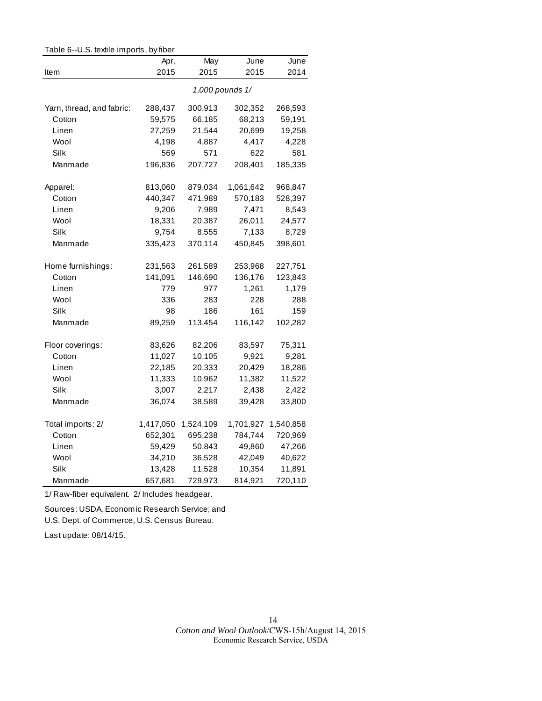| Table 6--U.S. textile imports, by fiber |                 |           |           |           |  |
|-----------------------------------------|-----------------|-----------|-----------|-----------|--|
|                                         | Apr.            | May       | June      | June      |  |
| Item                                    | 2015            | 2015      | 2015      | 2014      |  |
|                                         | 1,000 pounds 1/ |           |           |           |  |
| Yarn, thread, and fabric:               | 288,437         | 300,913   | 302,352   | 268,593   |  |
| Cotton                                  | 59,575          | 66,185    | 68,213    | 59,191    |  |
| Linen                                   | 27,259          | 21,544    | 20,699    | 19,258    |  |
| Wool                                    | 4,198           | 4,887     | 4,417     | 4,228     |  |
| Silk                                    | 569             | 571       | 622       | 581       |  |
| Manmade                                 | 196,836         | 207,727   | 208,401   | 185,335   |  |
| Apparel:                                | 813,060         | 879,034   | 1,061,642 | 968,847   |  |
| Cotton                                  | 440,347         | 471,989   | 570,183   | 528,397   |  |
| Linen                                   | 9,206           | 7,989     | 7,471     | 8,543     |  |
| Wool                                    | 18,331          | 20,387    | 26,011    | 24,577    |  |
| Silk                                    | 9,754           | 8,555     | 7,133     | 8,729     |  |
| Manmade                                 | 335,423         | 370,114   | 450,845   | 398,601   |  |
| Home furnishings:                       | 231,563         | 261,589   | 253,968   | 227,751   |  |
| Cotton                                  | 141,091         | 146,690   | 136,176   | 123,843   |  |
| Linen                                   | 779             | 977       | 1,261     | 1,179     |  |
| Wool                                    | 336             | 283       | 228       | 288       |  |
| Silk                                    | 98              | 186       | 161       | 159       |  |
| Manmade                                 | 89,259          | 113,454   | 116,142   | 102,282   |  |
| Floor coverings:                        | 83,626          | 82,206    | 83,597    | 75,311    |  |
| Cotton                                  | 11,027          | 10,105    | 9,921     | 9,281     |  |
| Linen                                   | 22,185          | 20,333    | 20,429    | 18,286    |  |
| Wool                                    | 11,333          | 10,962    | 11,382    | 11,522    |  |
| Silk                                    | 3,007           | 2,217     | 2,438     | 2,422     |  |
| Manmade                                 | 36,074          | 38,589    | 39,428    | 33,800    |  |
| Total imports: 2/                       | 1,417,050       | 1,524,109 | 1,701,927 | 1,540,858 |  |
| Cotton                                  | 652,301         | 695,238   | 784,744   | 720,969   |  |
| Linen                                   | 59,429          | 50,843    | 49,860    | 47,266    |  |
| Wool                                    | 34,210          | 36,528    | 42,049    | 40,622    |  |
| Silk                                    | 13,428          | 11,528    | 10,354    | 11,891    |  |
| Manmade                                 | 657,681         | 729,973   | 814,921   | 720,110   |  |

1/ Raw-fiber equivalent. 2/ Includes headgear.

Sources: USDA, Economic Research Service; and

U.S. Dept. of Commerce, U.S. Census Bureau.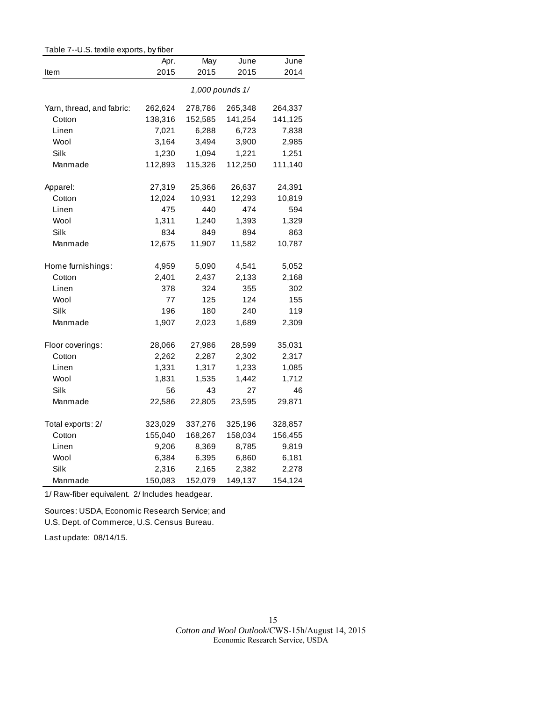| Table 7--0.5. textile exports, by fiber |                 |         |         |         |  |
|-----------------------------------------|-----------------|---------|---------|---------|--|
|                                         | Apr.            | May     | June    | June    |  |
| Item                                    | 2015            | 2015    | 2015    | 2014    |  |
|                                         | 1,000 pounds 1/ |         |         |         |  |
| Yarn, thread, and fabric:               | 262,624         | 278,786 | 265,348 | 264,337 |  |
| Cotton                                  | 138,316         | 152,585 | 141,254 | 141,125 |  |
| Linen                                   | 7,021           | 6,288   | 6,723   | 7,838   |  |
| Wool                                    | 3,164           | 3,494   | 3,900   | 2,985   |  |
| Silk                                    | 1,230           | 1,094   | 1,221   | 1,251   |  |
| Manmade                                 | 112,893         | 115,326 | 112,250 | 111,140 |  |
| Apparel:                                | 27,319          | 25,366  | 26,637  | 24,391  |  |
| Cotton                                  | 12,024          | 10,931  | 12,293  | 10,819  |  |
| Linen                                   | 475             | 440     | 474     | 594     |  |
| Wool                                    | 1,311           | 1,240   | 1,393   | 1,329   |  |
| Silk                                    | 834             | 849     | 894     | 863     |  |
| Manmade                                 | 12,675          | 11,907  | 11,582  | 10,787  |  |
| Home furnishings:                       | 4,959           | 5,090   | 4,541   | 5,052   |  |
| Cotton                                  | 2,401           | 2,437   | 2,133   | 2,168   |  |
| Linen                                   | 378             | 324     | 355     | 302     |  |
| Wool                                    | 77              | 125     | 124     | 155     |  |
| Silk                                    | 196             | 180     | 240     | 119     |  |
| Manmade                                 | 1,907           | 2,023   | 1,689   | 2,309   |  |
| Floor coverings:                        | 28,066          | 27,986  | 28,599  | 35,031  |  |
| Cotton                                  | 2,262           | 2,287   | 2,302   | 2,317   |  |
| Linen                                   | 1,331           | 1,317   | 1,233   | 1,085   |  |
| Wool                                    | 1,831           | 1,535   | 1,442   | 1,712   |  |
| Silk                                    | 56              | 43      | 27      | 46      |  |
| Manmade                                 | 22,586          | 22,805  | 23,595  | 29,871  |  |
| Total exports: 2/                       | 323,029         | 337,276 | 325,196 | 328,857 |  |
| Cotton                                  | 155,040         | 168,267 | 158,034 | 156,455 |  |
| Linen                                   | 9,206           | 8,369   | 8,785   | 9,819   |  |
| Wool                                    | 6,384           | 6,395   | 6,860   | 6,181   |  |
| Silk                                    | 2,316           | 2,165   | 2,382   | 2,278   |  |
| Manmade                                 | 150,083         | 152,079 | 149,137 | 154,124 |  |

Table 7--U.S. textile exports, by fiber

1/ Raw-fiber equivalent. 2/ Includes headgear.

Sources: USDA, Economic Research Service; and U.S. Dept. of Commerce, U.S. Census Bureau.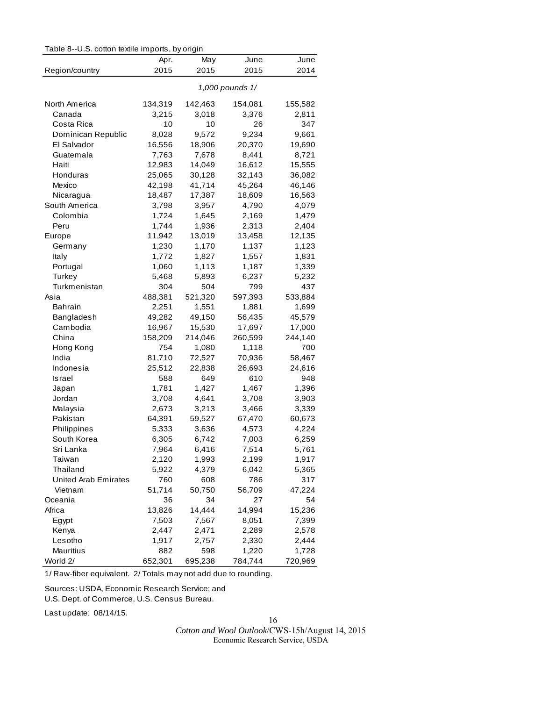| Table 8--U.S. cotton textile imports, by origin |  |  |  |  |
|-------------------------------------------------|--|--|--|--|
|-------------------------------------------------|--|--|--|--|

|                             | Apr.    | May     | June            | June    |
|-----------------------------|---------|---------|-----------------|---------|
| Region/country              | 2015    | 2015    | 2015            | 2014    |
|                             |         |         | 1,000 pounds 1/ |         |
| North America               | 134,319 | 142,463 | 154,081         | 155,582 |
| Canada                      | 3,215   | 3,018   | 3,376           | 2,811   |
| Costa Rica                  | 10      | 10      | 26              | 347     |
| Dominican Republic          | 8,028   | 9,572   | 9,234           | 9,661   |
| El Salvador                 | 16,556  | 18,906  | 20,370          | 19,690  |
| Guatemala                   | 7,763   | 7,678   | 8,441           | 8,721   |
| Haiti                       | 12,983  | 14,049  | 16,612          | 15,555  |
| Honduras                    | 25,065  | 30,128  | 32,143          | 36,082  |
| Mexico                      | 42,198  | 41,714  | 45,264          | 46,146  |
| Nicaragua                   | 18,487  | 17,387  | 18,609          | 16,563  |
| South America               | 3,798   | 3,957   | 4,790           | 4,079   |
| Colombia                    | 1,724   | 1,645   | 2,169           | 1,479   |
| Peru                        | 1,744   | 1,936   | 2,313           | 2,404   |
| Europe                      | 11,942  | 13,019  | 13,458          | 12,135  |
| Germany                     | 1,230   | 1,170   | 1,137           | 1,123   |
| Italy                       | 1,772   | 1,827   | 1,557           | 1,831   |
| Portugal                    | 1,060   | 1,113   | 1,187           | 1,339   |
| Turkey                      | 5,468   | 5,893   | 6,237           | 5,232   |
| Turkmenistan                | 304     | 504     | 799             | 437     |
| Asia                        | 488,381 | 521,320 | 597,393         | 533,884 |
| Bahrain                     | 2,251   | 1,551   | 1,881           | 1,699   |
| Bangladesh                  | 49,282  | 49,150  | 56,435          | 45,579  |
| Cambodia                    | 16,967  | 15,530  | 17,697          | 17,000  |
| China                       | 158,209 | 214,046 | 260,599         | 244,140 |
| Hong Kong                   | 754     | 1,080   | 1,118           | 700     |
| India                       | 81,710  | 72,527  | 70,936          | 58,467  |
| Indonesia                   | 25,512  | 22,838  | 26,693          | 24,616  |
| Israel                      | 588     | 649     | 610             | 948     |
| Japan                       | 1,781   | 1,427   | 1,467           | 1,396   |
| Jordan                      | 3,708   | 4,641   | 3,708           | 3,903   |
| Malaysia                    | 2,673   | 3,213   | 3,466           | 3,339   |
| Pakistan                    | 64,391  | 59,527  | 67,470          | 60,673  |
| Philippines                 | 5,333   | 3,636   | 4,573           | 4,224   |
| South Korea                 | 6,305   | 6,742   | 7,003           | 6,259   |
| Sri Lanka                   | 7,964   | 6,416   | 7,514           | 5,761   |
| Taiwan                      | 2,120   | 1,993   | 2,199           | 1,917   |
| Thailand                    | 5,922   | 4,379   | 6,042           | 5,365   |
| <b>United Arab Emirates</b> | 760     | 608     | 786             | 317     |
| Vietnam                     | 51,714  | 50,750  | 56,709          | 47,224  |
| Oceania                     | 36      | 34      | 27              | 54      |
| Africa                      | 13,826  | 14,444  | 14,994          | 15,236  |
| Egypt                       | 7,503   | 7,567   | 8,051           | 7,399   |
| Kenya                       | 2,447   | 2,471   | 2,289           | 2,578   |
| Lesotho                     | 1,917   | 2,757   | 2,330           | 2,444   |
| Mauritius                   | 882     | 598     | 1,220           | 1,728   |
| World 2/                    | 652,301 | 695,238 | 784,744         | 720,969 |

1/ Raw-fiber equivalent. 2/ Totals may not add due to rounding.

Sources: USDA, Economic Research Service; and

U.S. Dept. of Commerce, U.S. Census Bureau.

Last update: 08/14/15.

16 *Cotton and Wool Outlook*/CWS-15h/August 14, 2015 Economic Research Service, USDA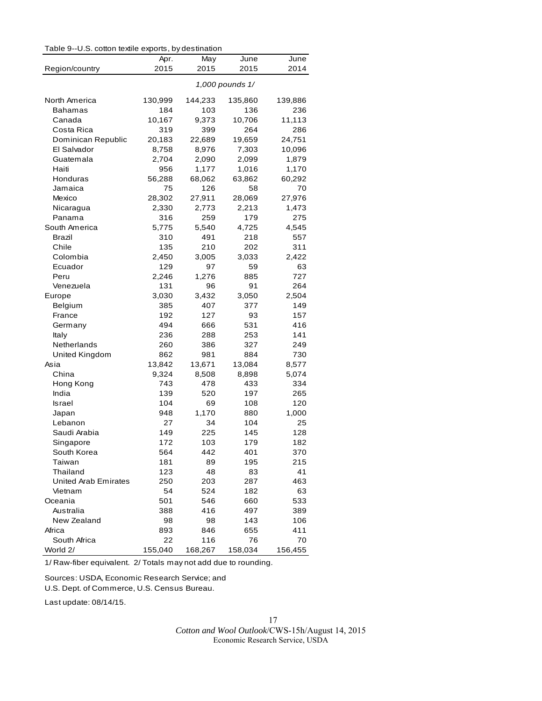| Table 9--U.S. cotton textile exports, by destination |
|------------------------------------------------------|
|------------------------------------------------------|

| s. oo won toxino oxpones, by aboundabili |                 |             |              |              |  |
|------------------------------------------|-----------------|-------------|--------------|--------------|--|
| Region/country                           | Apr.<br>2015    | May<br>2015 | June<br>2015 | June<br>2014 |  |
|                                          |                 |             |              |              |  |
|                                          | 1,000 pounds 1/ |             |              |              |  |
| North America                            | 130,999         | 144,233     | 135,860      | 139,886      |  |
| Bahamas                                  | 184             | 103         | 136          | 236          |  |
| Canada                                   | 10,167          | 9,373       | 10,706       | 11,113       |  |
| Costa Rica                               | 319             | 399         | 264          | 286          |  |
| Dominican Republic                       | 20,183          | 22,689      | 19,659       | 24,751       |  |
| El Salvador                              | 8,758           | 8,976       | 7,303        | 10,096       |  |
| Guatemala                                | 2,704           | 2,090       | 2,099        | 1,879        |  |
| Haiti                                    | 956             | 1,177       | 1,016        | 1,170        |  |
| Honduras                                 | 56,288          | 68,062      | 63,862       | 60,292       |  |
| Jamaica                                  | 75              | 126         | 58           | 70           |  |
| Mexico                                   | 28,302          | 27,911      | 28,069       | 27,976       |  |
| Nicaragua                                | 2,330           | 2,773       | 2,213        | 1,473        |  |
| Panama                                   | 316             | 259         | 179          | 275          |  |
| South America                            | 5,775           | 5,540       | 4,725        | 4,545        |  |
| Brazil                                   | 310             | 491         | 218          | 557          |  |
| Chile                                    | 135             | 210         | 202          | 311          |  |
| Colombia                                 | 2,450           | 3,005       | 3,033        | 2,422        |  |
| Ecuador                                  | 129             | 97          | 59           | 63           |  |
| Peru                                     | 2,246           | 1,276       | 885          | 727          |  |
| Venezuela                                | 131             | 96          | 91           | 264          |  |
| Europe                                   | 3,030           | 3,432       | 3,050        | 2,504        |  |
| Belgium                                  | 385             | 407         | 377          | 149          |  |
| France                                   | 192             | 127         | 93           | 157          |  |
| Germany                                  | 494             | 666         | 531          | 416          |  |
| Italy                                    | 236             | 288         | 253          | 141          |  |
| Netherlands                              | 260             | 386         | 327          | 249          |  |
| United Kingdom                           | 862             | 981         | 884          | 730          |  |
| Asia                                     | 13,842          | 13,671      | 13,084       | 8,577        |  |
| China                                    | 9,324           | 8,508       | 8,898        | 5,074        |  |
| Hong Kong                                | 743             | 478         | 433          | 334          |  |
| India                                    | 139             | 520         | 197          | 265          |  |
| Israel                                   | 104             | 69          | 108          | 120          |  |
| Japan                                    | 948             | 1,170       | 880          | 1,000        |  |
| Lebanon                                  | 27              | 34          | 104          | 25           |  |
| Saudi Arabia                             | 149             | 225         | 145          | 128          |  |
| Singapore                                | 172             | 103         | 179          | 182          |  |
| South Korea                              | 564             | 442         | 401          | 370          |  |
| Taiwan                                   | 181             | 89          | 195          | 215          |  |
| Thailand                                 | 123             | 48          | 83           | 41           |  |
| <b>United Arab Emirates</b>              | 250             | 203         | 287          | 463          |  |
| Vietnam                                  | 54              | 524         | 182          | 63           |  |
| Oceania                                  | 501             | 546         | 660          | 533          |  |
| Australia                                | 388             | 416         | 497          | 389          |  |
| New Zealand                              | 98              | 98          | 143          | 106          |  |
| Africa                                   | 893             | 846         | 655          | 411          |  |
| South Africa                             | 22              | 116         | 76           | 70           |  |
| World 2/                                 | 155,040         | 168,267     | 158,034      | 156,455      |  |

1/ Raw-fiber equivalent. 2/ Totals may not add due to rounding.

Sources: USDA, Economic Research Service; and

U.S. Dept. of Commerce, U.S. Census Bureau.

Last update: 08/14/15.

*Cotton and Wool Outlook*/CWS-15h/August 14, 2015 Economic Research Service, USDA